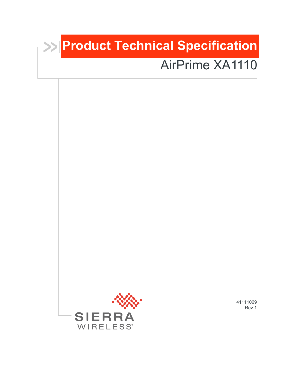# **Product Technical Specification**

# AirPrime XA1110



41111069 Rev 1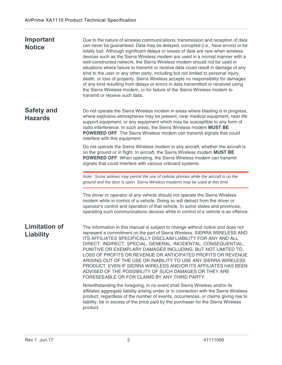| Important<br><b>Notice</b>               | Due to the nature of wireless communications, transmission and reception of data<br>can never be guaranteed. Data may be delayed, corrupted (i.e., have errors) or be<br>totally lost. Although significant delays or losses of data are rare when wireless<br>devices such as the Sierra Wireless modem are used in a normal manner with a<br>well-constructed network, the Sierra Wireless modem should not be used in<br>situations where failure to transmit or receive data could result in damage of any<br>kind to the user or any other party, including but not limited to personal injury,<br>death, or loss of property. Sierra Wireless accepts no responsibility for damages<br>of any kind resulting from delays or errors in data transmitted or received using<br>the Sierra Wireless modem, or for failure of the Sierra Wireless modem to<br>transmit or receive such data. |
|------------------------------------------|-----------------------------------------------------------------------------------------------------------------------------------------------------------------------------------------------------------------------------------------------------------------------------------------------------------------------------------------------------------------------------------------------------------------------------------------------------------------------------------------------------------------------------------------------------------------------------------------------------------------------------------------------------------------------------------------------------------------------------------------------------------------------------------------------------------------------------------------------------------------------------------------------|
| <b>Safety and</b><br><b>Hazards</b>      | Do not operate the Sierra Wireless modem in areas where blasting is in progress,<br>where explosive atmospheres may be present, near medical equipment, near life<br>support equipment, or any equipment which may be susceptible to any form of<br>radio interference. In such areas, the Sierra Wireless modem MUST BE<br><b>POWERED OFF.</b> The Sierra Wireless modem can transmit signals that could<br>interfere with this equipment.                                                                                                                                                                                                                                                                                                                                                                                                                                                   |
|                                          | Do not operate the Sierra Wireless modem in any aircraft, whether the aircraft is<br>on the ground or in flight. In aircraft, the Sierra Wireless modem MUST BE<br>POWERED OFF. When operating, the Sierra Wireless modem can transmit<br>signals that could interfere with various onboard systems.                                                                                                                                                                                                                                                                                                                                                                                                                                                                                                                                                                                          |
|                                          | Note: Some airlines may permit the use of cellular phones while the aircraft is on the<br>ground and the door is open. Sierra Wireless modems may be used at this time.                                                                                                                                                                                                                                                                                                                                                                                                                                                                                                                                                                                                                                                                                                                       |
|                                          | The driver or operator of any vehicle should not operate the Sierra Wireless<br>modem while in control of a vehicle. Doing so will detract from the driver or<br>operator's control and operation of that vehicle. In some states and provinces,<br>operating such communications devices while in control of a vehicle is an offence.                                                                                                                                                                                                                                                                                                                                                                                                                                                                                                                                                        |
| <b>Limitation of</b><br><b>Liability</b> | The information in this manual is subject to change without notice and does not<br>represent a commitment on the part of Sierra Wireless. SIERRA WIRELESS AND<br>ITS AFFILIATES SPECIFICALLY DISCLAIM LIABILITY FOR ANY AND ALL<br>DIRECT, INDIRECT, SPECIAL, GENERAL, INCIDENTAL, CONSEQUENTIAL,<br>PUNITIVE OR EXEMPLARY DAMAGES INCLUDING, BUT NOT LIMITED TO,<br>LOSS OF PROFITS OR REVENUE OR ANTICIPATED PROFITS OR REVENUE<br>ARISING OUT OF THE USE OR INABILITY TO USE ANY SIERRA WIRELESS<br>PRODUCT, EVEN IF SIERRA WIRELESS AND/OR ITS AFFILIATES HAS BEEN<br>ADVISED OF THE POSSIBILITY OF SUCH DAMAGES OR THEY ARE<br>FORESEEABLE OR FOR CLAIMS BY ANY THIRD PARTY.                                                                                                                                                                                                             |
|                                          | Notwithstanding the foregoing, in no event shall Sierra Wireless and/or its<br>affiliates aggregate liability arising under or in connection with the Sierra Wireless<br>product, regardless of the number of events, occurrences, or claims giving rise to<br>liability, be in excess of the price paid by the purchaser for the Sierra Wireless<br>product.                                                                                                                                                                                                                                                                                                                                                                                                                                                                                                                                 |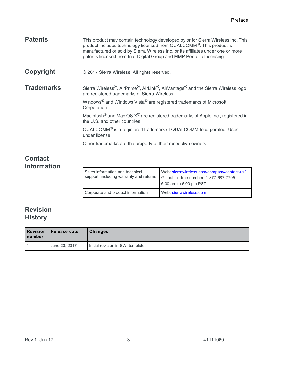| <b>Patents</b>                       | This product may contain technology developed by or for Sierra Wireless Inc. This<br>product includes technology licensed from QUALCOMM <sup>®</sup> . This product is<br>manufactured or sold by Sierra Wireless Inc. or its affiliates under one or more<br>patents licensed from InterDigital Group and MMP Portfolio Licensing.                                                                                                                                                                                                                                 |
|--------------------------------------|---------------------------------------------------------------------------------------------------------------------------------------------------------------------------------------------------------------------------------------------------------------------------------------------------------------------------------------------------------------------------------------------------------------------------------------------------------------------------------------------------------------------------------------------------------------------|
| Copyright                            | © 2017 Sierra Wireless. All rights reserved.                                                                                                                                                                                                                                                                                                                                                                                                                                                                                                                        |
| <b>Trademarks</b>                    | Sierra Wireless <sup>®</sup> , AirPrime®, AirLink®, AirVantage <sup>®</sup> and the Sierra Wireless logo<br>are registered trademarks of Sierra Wireless.<br>Windows <sup>®</sup> and Windows Vista <sup>®</sup> are registered trademarks of Microsoft<br>Corporation.<br>Macintosh <sup>®</sup> and Mac OS $X^®$ are registered trademarks of Apple Inc., registered in<br>the U.S. and other countries.<br>QUALCOMM® is a registered trademark of QUALCOMM Incorporated. Used<br>under license.<br>Other trademarks are the property of their respective owners. |
| <b>Contact</b><br><b>Information</b> |                                                                                                                                                                                                                                                                                                                                                                                                                                                                                                                                                                     |

| Sales information and technical<br>support, including warranty and returns | Web: sierrawireless.com/company/contact-us/<br>Global toll-free number: 1-877-687-7795<br>6:00 am to 6:00 pm PST |
|----------------------------------------------------------------------------|------------------------------------------------------------------------------------------------------------------|
| Corporate and product information                                          | Web: sierrawireless.com                                                                                          |

### **Revision History**

| <b>Revision</b><br>number | Release date  | <b>Changes</b>                    |
|---------------------------|---------------|-----------------------------------|
|                           | June 23, 2017 | Initial revision in SWI template. |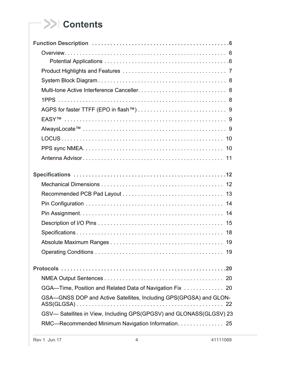## **Contents**

| GSA—GNSS DOP and Active Satellites, Including GPS(GPGSA) and GLON-<br>22 |
|--------------------------------------------------------------------------|
| GSV- Satellites in View, Including GPS(GPGSV) and GLONASS(GLGSV) 23      |
| RMC-Recommended Minimum Navigation Information. 25                       |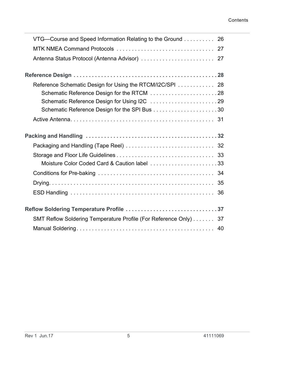#### Contents

| VTG—Course and Speed Information Relating to the Ground 26       |
|------------------------------------------------------------------|
|                                                                  |
| Antenna Status Protocol (Antenna Advisor)  27                    |
|                                                                  |
| Reference Schematic Design for Using the RTCM/I2C/SPI 28         |
|                                                                  |
|                                                                  |
|                                                                  |
|                                                                  |
|                                                                  |
|                                                                  |
|                                                                  |
| Moisture Color Coded Card & Caution label 33                     |
|                                                                  |
|                                                                  |
|                                                                  |
| Reflow Soldering Temperature Profile 37                          |
| SMT Reflow Soldering Temperature Profile (For Reference Only) 37 |
| 40                                                               |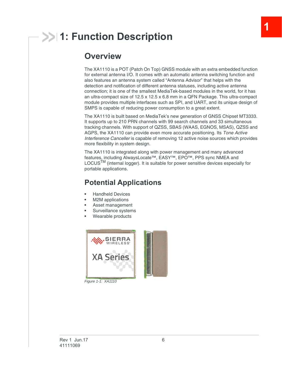## <span id="page-5-0"></span>**1: Function Description**

### <span id="page-5-1"></span>**Overview**

The XA1110 is a POT (Patch On Top) GNSS module with an extra embedded function for external antenna I/O. It comes with an automatic antenna switching function and also features an antenna system called "Antenna Advisor" that helps with the detection and notification of different antenna statuses, including active antenna connection; it is one of the smallest MediaTek-based modules in the world, for it has an ultra-compact size of 12.5 x 12.5 x 6.8 mm in a QFN Package. This ultra-compact module provides multiple interfaces such as SPI, and UART, and its unique design of SMPS is capable of reducing power consumption to a great extent.

**1**

The XA1110 is built based on MediaTek's new generation of GNSS Chipset MT3333. It supports up to 210 PRN channels with 99 search channels and 33 simultaneous tracking channels. With support of QZSS, SBAS (WAAS, EGNOS, MSAS), QZSS and AGPS, the XA1110 can provide even more accurate positioning. Its *Tone Active Interference Canceller* is capable of removing 12 active noise sources which provides more flexibility in system design.

The XA1110 is integrated along with power management and many advanced features, including AlwaysLocate™, EASY™, EPO™, PPS sync NMEA and LOCUS<sup>TM</sup> (internal logger). It is suitable for power sensitive devices especially for portable applications.

### <span id="page-5-2"></span>**Potential Applications**

- **•** Handheld Devices
- **•** M2M applications
- **•** Asset management
- **•** Surveillance systems
- **•** Wearable products



*Figure 1-1: XA1110*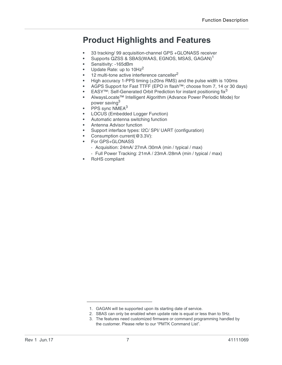### <span id="page-6-0"></span>**Product Highlights and Features**

- **•** 33 tracking/ 99 acquisition-channel GPS +GLONASS receiver
- Supports QZSS & SBAS(WAAS, EGNOS, MSAS, GAGAN)<sup>1</sup>
- **•** Sensitivity: -165dBm
- **•** Update Rate: up to 10Hz<sup>2</sup>
- 1[2](#page-6-1) multi-tone active interference canceller<sup>2</sup>
- **•** High accuracy 1-PPS timing (±20ns RMS) and the pulse width is 100ms
- **•** AGPS Support for Fast TTFF (EPO in flash™; choose from 7, 14 or 30 days)
- **•** EASY™: Self-Generated Orbit Prediction for instant positioning fix<sup>3</sup>
- **•** AlwaysLocate™ Intelligent Algorithm (Advance Power Periodic Mode) for power saving[3](#page-6-2)
- **•** PPS sync NMEA[3](#page-6-2)
- **•** LOCUS (Embedded Logger Function)
- **•** Automatic antenna switching function
- **•** Antenna Advisor function
- **•** Support interface types: I2C/ SPI/ UART (configuration)
- **•** Consumption current(@3.3V):
- **•** For GPS+GLONASS
	- **·** Acquisition: 24mA/ 27mA /30mA (min / typical / max)
	- **·** Full Power Tracking: 21mA / 23mA /28mA (min / typical / max)
- **•** RoHS compliant

<sup>1.</sup> GAGAN will be supported upon its starting date of service.

<span id="page-6-1"></span><sup>2.</sup> SBAS can only be enabled when update rate is equal or less than to 5Hz.

<span id="page-6-2"></span><sup>3.</sup> The features need customized firmware or command programming handled by the customer. Please refer to our "PMTK Command List".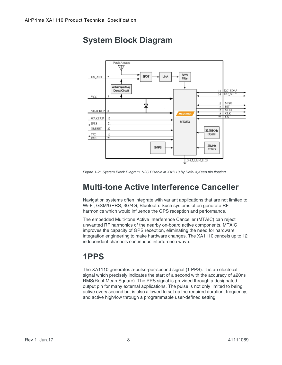<span id="page-7-0"></span>



*Figure 1-2: System Block Diagram. \*I2C Disable in XA1110 by Default,Keep pin floating.*

### <span id="page-7-1"></span>**Multi-tone Active Interference Canceller**

Navigation systems often integrate with variant applications that are not limited to Wi-Fi, GSM/GPRS, 3G/4G, Bluetooth. Such systems often generate RF harmonics which would influence the GPS reception and performance.

The embedded Multi-tone Active Interference Canceller (MTAIC) can reject unwanted RF harmonics of the nearby on-board active components. MTAIC improves the capacity of GPS reception, eliminating the need for hardware integration engineering to make hardware changes. The XA1110 cancels up to 12 independent channels continuous interference wave.

### <span id="page-7-2"></span>**1PPS**

The XA1110 generates a-pulse-per-second signal (1 PPS). It is an electrical signal which precisely indicates the start of a second with the accuracy of  $\pm 20$ ns RMS(Root Mean Square). The PPS signal is provided through a designated output pin for many external applications. The pulse is not only limited to being active every second but is also allowed to set up the required duration, frequency, and active high/low through a programmable user-defined setting.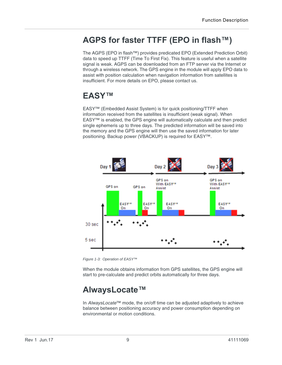### <span id="page-8-0"></span>**AGPS for faster TTFF (EPO in flash™)**

The AGPS (EPO in flash™) provides predicated EPO (Extended Prediction Orbit) data to speed up TTFF (Time To First Fix). This feature is useful when a satellite signal is weak. AGPS can be downloaded from an FTP server via the Internet or through a wireless network. The GPS engine in the module will apply EPO data to assist with position calculation when navigation information from satellites is insufficient. For more details on EPO, please contact us.

### <span id="page-8-1"></span>**EASY™**

EASY™ (Embedded Assist System) is for quick positioning/TTFF when information received from the satellites is insufficient (weak signal). When EASY™ is enabled, the GPS engine will automatically calculate and then predict single ephemeris up to three days. The predicted information will be saved into the memory and the GPS engine will then use the saved information for later positioning. Backup power (VBACKUP) is required for EASY™.



*Figure 1-3: Operation of EASY™*

When the module obtains information from GPS satellites, the GPS engine will start to pre-calculate and predict orbits automatically for three days.

### <span id="page-8-2"></span>**AlwaysLocate™**

In *AlwaysLocate*™ mode, the on/off time can be adjusted adaptively to achieve balance between positioning accuracy and power consumption depending on environmental or motion conditions.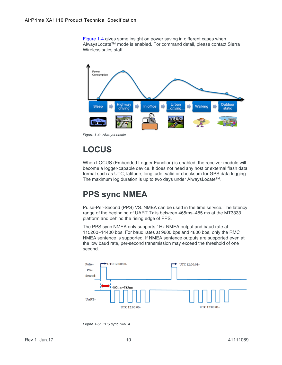[Figure 1-4](#page-9-2) gives some insight on power saving in different cases when AlwaysLocate™ mode is enabled. For command detail, please contact Sierra Wireless sales staff.



<span id="page-9-2"></span>*Figure 1-4: AlwaysLocatie*

## <span id="page-9-0"></span>**LOCUS**

When LOCUS (Embedded Logger Function) is enabled, the receiver module will become a logger-capable device. It does not need any host or external flash data format such as UTC, latitude, longitude, valid or checksum for GPS data logging. The maximum log duration is up to two days under AlwaysLocate™.

### <span id="page-9-1"></span>**PPS sync NMEA**

Pulse-Per-Second (PPS) VS. NMEA can be used in the time service. The latency range of the beginning of UART Tx is between 465ms~485 ms at the MT3333 platform and behind the rising edge of PPS.

The PPS sync NMEA only supports 1Hz NMEA output and baud rate at 115200~14400 bps. For baud rates at 9600 bps and 4800 bps, only the RMC NMEA sentence is supported. If NMEA sentence outputs are supported even at the low baud rate, per-second transmission may exceed the threshold of one second.



*Figure 1-5: PPS sync NMEA*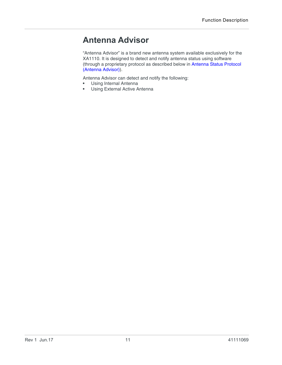### <span id="page-10-0"></span>**Antenna Advisor**

"Antenna Advisor" is a brand new antenna system available exclusively for the XA1110. It is designed to detect and notify antenna status using software (through a proprietary protocol as described below in [Antenna Status Protocol](#page-26-2)  [\(Antenna Advisor\)\)](#page-26-2).

Antenna Advisor can detect and notify the following:<br>• Using Internal Antenna

- **•** Using Internal Antenna
- **•** Using External Active Antenna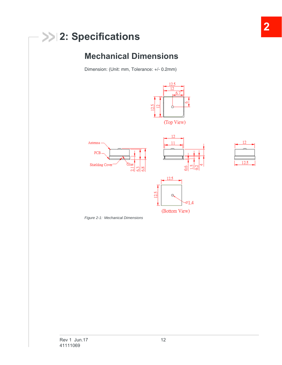## <span id="page-11-0"></span>**2: Specifications**

### <span id="page-11-1"></span>**Mechanical Dimensions**

Dimension: (Unit: mm, Tolerance: +/- 0.2mm)



*Figure 2-1: Mechanical Dimensions*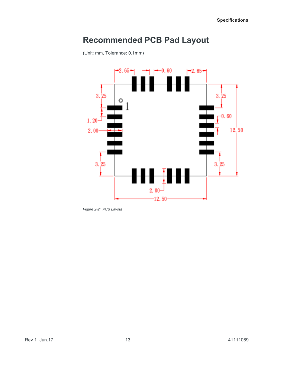## <span id="page-12-0"></span>**Recommended PCB Pad Layout**

(Unit: mm, Tolerance: 0.1mm)



*Figure 2-2: PCB Layout*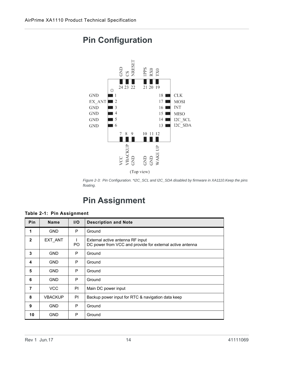

### <span id="page-13-0"></span>**Pin Configuration**

*Figure 2-3: Pin Configuration. \*I2C\_SCL and I2C\_SDA disabled by firmware in XA1110.Keep the pins floating.*

### <span id="page-13-1"></span>**Pin Assignment**

| <b>Pin</b>     | <b>Name</b>    | I/O | <b>Description and Note</b>                                                                   |
|----------------|----------------|-----|-----------------------------------------------------------------------------------------------|
| 1              | <b>GND</b>     | P   | Ground                                                                                        |
| $\overline{2}$ | EXT ANT        | PO. | External active antenna RF input<br>DC power from VCC and provide for external active antenna |
| 3              | <b>GND</b>     | P   | Ground                                                                                        |
| 4              | <b>GND</b>     | P   | Ground                                                                                        |
| 5              | <b>GND</b>     | P   | Ground                                                                                        |
| 6              | <b>GND</b>     | P   | Ground                                                                                        |
| 7              | <b>VCC</b>     | PI  | Main DC power input                                                                           |
| 8              | <b>VBACKUP</b> | PI  | Backup power input for RTC & navigation data keep                                             |
| 9              | <b>GND</b>     | P   | Ground                                                                                        |
| 10             | <b>GND</b>     | P   | Ground                                                                                        |

#### **Table 2-1: Pin Assignment**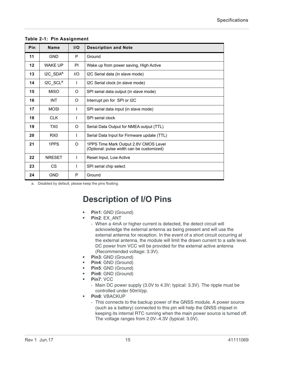| Pin | <b>Name</b>          | I/O       | <b>Description and Note</b>                                                        |  |
|-----|----------------------|-----------|------------------------------------------------------------------------------------|--|
| 11  | <b>GND</b>           | P         | Ground                                                                             |  |
| 12  | <b>WAKE UP</b>       | <b>PI</b> | Wake up from power saving, High Active                                             |  |
| 13  | I2C_SDAª             | 1/O       | I2C Serial data (in slave mode)                                                    |  |
| 14  | I2C SCL <sup>a</sup> | I.        | I2C Serial clock (in slave mode)                                                   |  |
| 15  | <b>MISO</b>          | O         | SPI serial data output (in slave mode)                                             |  |
| 16  | <b>INT</b>           | $\Omega$  | Interrupt pin for SPI or I2C                                                       |  |
| 17  | <b>MOSI</b>          | I.        | SPI serial data input (in slave mode)                                              |  |
| 18  | <b>CLK</b>           | I.        | SPI serial clock                                                                   |  |
| 19  | TX0                  | O         | Serial Data Output for NMEA output (TTL)                                           |  |
| 20  | RX0                  | T         | Serial Data Input for Firmware update (TTL)                                        |  |
| 21  | 1PPS                 | $\Omega$  | 1PPS Time Mark Output 2.8V CMOS Level<br>(Optional: pulse width can be customized) |  |
| 22  | <b>NRESET</b>        | I.        | Reset Input, Low Active                                                            |  |
| 23  | <b>CS</b>            |           | SPI serial chip select                                                             |  |
| 24  | <b>GND</b>           | P         | Ground                                                                             |  |

#### **Table 2-1: Pin Assignment**

<span id="page-14-1"></span>a. Disabled by default, please keep the pins floating.

### <span id="page-14-0"></span>**Description of I/O Pins**

- **• Pin1**: GND (Ground)
- **• Pin2**: EX\_ANT
	- **·** When a 4mA or higher current is detected, the detect circuit will acknowledge the external antenna as being present and will use the external antenna for reception. In the event of a short circuit occurring at the external antenna, the module will limit the drawn current to a safe level. DC power from VCC will be provided for the external active antenna (Recommended voltage: 3.3V).
- **• Pin3**: GND (Ground)
- **• Pin4**: GND (Ground)
- **• Pin5**: GND (Ground)
- **• Pin6**: GND (Ground)
- **• Pin7**: VCC
	- **·** Main DC power supply (3.0V to 4.3V; typical: 3.3V). The ripple must be controlled under 50mVpp.
	- **• Pin8**: VBACKUP
		- **·** This connects to the backup power of the GNSS module. A power source (such as a battery) connected to this pin will help the GNSS chipset in keeping its internal RTC running when the main power source is turned off. The voltage ranges from 2.0V~4.3V (typical: 3.0V).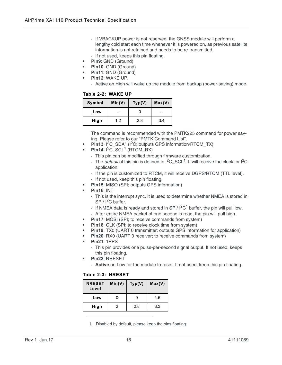- **·** If VBACKUP power is not reserved, the GNSS module will perform a lengthy cold start each time whenever it is powered on, as previous satellite information is not retained and needs to be re-transmitted.
- **·** If not used, keeps this pin floating.
- **• Pin9**: GND (Ground)
- **• Pin10**: GND (Ground)
- **• Pin11**: GND (Ground)
- **• Pin12**: WAKE UP.
	- **·** Active on High will wake up the module from backup (power-saving) mode.

#### **Table 2-2: WAKE UP**

| Symbol | Min(V) | Typ(V) | Max(V) |
|--------|--------|--------|--------|
| Low    | --     |        | --     |
| High   | 1.2    | 2.8    | 3.4    |

The command is recommended with the PMTK225 command for power saving. Please refer to our "PMTK Command List".

- **Pin13**:  ${}^{12}C$ \_SDA<sup>1</sup> ( ${}^{12}C$ ; outputs GPS information/RTCM\_TX)
- **Pin[1](#page-15-0)4:**  $I^2C$  SCL<sup>1</sup> (RTCM\_RX)
	- **·** This pin can be modified through firmware customization.
	- $\cdot$  The *default* of this pin is defined to  $I^2C$  SCL<sup>[1](#page-15-0)</sup>. It will receive the clock for  $I^2C$ application.
	- **·** If the pin is customized to RTCM, it will receive DGPS/RTCM (TTL level).
	- **·** If not used, keep this pin floating.
- **• Pin15**: MISO (SPI; outputs GPS information)
- **• Pin16**: INT
	- **·** This is the interrupt sync. It is used to determine whether NMEA is stored in  $SPI/I<sup>2</sup>C$  buffer.
	- $\cdot$  If NMEA data is ready and stored in SPI/  $1^2C^1$  $1^2C^1$  buffer, the pin will pull low.
	- **·** After entire NMEA packet of one second is read, the pin will pull high.
- **• Pin17**: MOSI (SPI; to receive commands from system)
- **Pin18: CLK (SPI; to receive clock time from system)**
- **• Pin19**: TX0 (UART 0 transmitter; outputs GPS information for application)
- **Pin20**: RX0 (UART 0 receiver; to receive commands from system)
- **• Pin21**: 1PPS
	- **·** This pin provides one pulse-per-second signal output. If not used, keeps this pin floating.
- **• Pin22**: NRESET
	- **· Active** on Low for the module to reset. If not used, keep this pin floating.

#### **Table 2-3: NRESET**

| <b>NRESET</b><br>Level | Min(V) | Typ(V) | Max(V) |
|------------------------|--------|--------|--------|
| Low                    |        |        | 1.5    |
| High                   | 2      | 2.8    | 3.3    |

<span id="page-15-0"></span>1. Disabled by default, please keep the pins floating.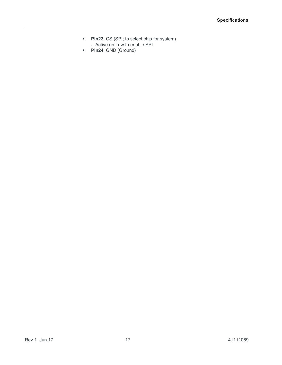- **• Pin23**: CS (SPI; to select chip for system) **·** Active on Low to enable SPI
- **• Pin24**: GND (Ground)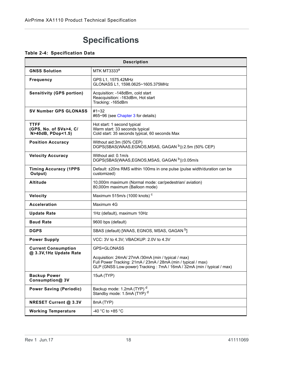## <span id="page-17-0"></span>**Specifications**

#### **Table 2-4: Specification Data**

| <b>Description</b>                                         |                                                                                                                                                                                              |  |  |
|------------------------------------------------------------|----------------------------------------------------------------------------------------------------------------------------------------------------------------------------------------------|--|--|
| <b>GNSS Solution</b>                                       | <b>MTK MT3333ª</b>                                                                                                                                                                           |  |  |
| <b>Frequency</b>                                           | GPS L1, 1575.42MHz<br>GLONASS L1, 1598.0625~1605.375MHz                                                                                                                                      |  |  |
| <b>Sensitivity (GPS portion)</b>                           | Acquisition: -148dBm, cold start<br>Reacquisition: -163dBm, Hot start<br>Tracking: - 165dBm                                                                                                  |  |  |
| <b>SV Number GPS GLONASS</b>                               | #1~32<br>#65~96 (see Chapter 3 for details)                                                                                                                                                  |  |  |
| <b>TTFF</b><br>(GPS, No. of SVs>4, C/<br>N>40dB, PDop<1.5) | Hot start: 1 second typical<br>Warm start: 33 seconds typical<br>Cold start: 35 seconds typical, 60 seconds Max                                                                              |  |  |
| <b>Position Accuracy</b>                                   | Without aid:3m (50% CEP)<br>DGPS(SBAS(WAAS,EGNOS,MSAS, GAGAN b)):2.5m (50% CEP)                                                                                                              |  |  |
| <b>Velocity Accuracy</b>                                   | Without aid: 0.1m/s<br>DGPS(SBAS(WAAS,EGNOS,MSAS, GAGAN b)):0.05m/s                                                                                                                          |  |  |
| <b>Timing Accuracy (1PPS</b><br>Output)                    | Default: ±20ns RMS within 100ms in one pulse (pulse width/duration can be<br>customized)                                                                                                     |  |  |
| <b>Altitude</b>                                            | 10,000m maximum (Normal mode: car/pedestrian/ aviation)<br>80,000m maximum (Balloon mode)                                                                                                    |  |  |
| Velocity                                                   | Maximum 515m/s (1000 knots) <sup>c</sup>                                                                                                                                                     |  |  |
| <b>Acceleration</b>                                        | Maximum 4G                                                                                                                                                                                   |  |  |
| <b>Update Rate</b>                                         | 1Hz (default), maximum 10Hz                                                                                                                                                                  |  |  |
| <b>Baud Rate</b>                                           | 9600 bps (default)                                                                                                                                                                           |  |  |
| <b>DGPS</b>                                                | SBAS (default) [WAAS, EGNOS, MSAS, GAGAN <sup>b</sup> ]                                                                                                                                      |  |  |
| <b>Power Supply</b>                                        | VCC: 3V to 4.3V; VBACKUP: 2.0V to 4.3V                                                                                                                                                       |  |  |
| <b>Current Consumption</b><br>@ 3.3V, 1Hz Update Rate      | GPS+GLONASS                                                                                                                                                                                  |  |  |
|                                                            | Acquisition: 24mA/27mA/30mA (min / typical / max)<br>Full Power Tracking: 21mA / 23mA / 28mA (min / typical / max)<br>GLP (GNSS Low-power) Tracking: 7mA / 16mA / 32mA (min / typical / max) |  |  |
| <b>Backup Power</b><br>Consumption@ 3V                     | 15uA (TYP)                                                                                                                                                                                   |  |  |
| <b>Power Saving (Periodic)</b>                             | Backup mode: 1.2mA (TYP) <sup>d</sup><br>Standby mode: 1.5mA (TYP) <sup>d</sup>                                                                                                              |  |  |
| <b>NRESET Current @ 3.3V</b>                               | 8mA (TYP)                                                                                                                                                                                    |  |  |
| <b>Working Temperature</b>                                 | -40 °C to +85 °C                                                                                                                                                                             |  |  |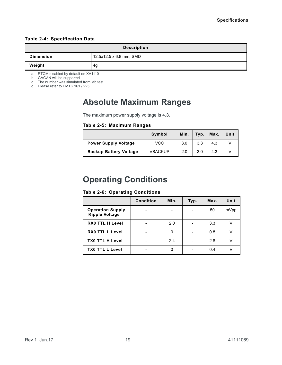#### **Table 2-4: Specification Data**

| <b>Description</b> |                         |  |
|--------------------|-------------------------|--|
| <b>Dimension</b>   | 12.5x12.5 x 6.8 mm, SMD |  |
| Weight             | 4g                      |  |

a. RTCM disabled by default on XA1110

<span id="page-18-2"></span>b. GAGAN will be supported

c. The number was simulated from lab test

<span id="page-18-3"></span>d. Please refer to PMTK 161 / 225

### <span id="page-18-0"></span>**Absolute Maximum Ranges**

The maximum power supply voltage is 4.3.

#### **Table 2-5: Maximum Ranges**

|                               | Symbol         | Min. | Typ. | Max. | Unit |
|-------------------------------|----------------|------|------|------|------|
| <b>Power Supply Voltage</b>   | <b>VCC</b>     | 3.0  | 3.3  | 4.3  |      |
| <b>Backup Battery Voltage</b> | <b>VBACKUP</b> | 2.0  | 3.0  | 4.3  |      |

### <span id="page-18-1"></span>**Operating Conditions**

#### **Table 2-6: Operating Conditions**

|                                                  | <b>Condition</b> | Min. | Typ. | Max. | Unit |
|--------------------------------------------------|------------------|------|------|------|------|
| <b>Operation Supply</b><br><b>Ripple Voltage</b> |                  |      |      | 50   | mVpp |
| <b>RX0 TTL H Level</b>                           |                  | 2.0  |      | 3.3  | v    |
| <b>RX0 TTL L Level</b>                           |                  | 0    |      | 0.8  |      |
| <b>TX0 TTL H Level</b>                           |                  | 2.4  |      | 2.8  |      |
| <b>TX0 TTL L Level</b>                           |                  | 0    |      | 0.4  |      |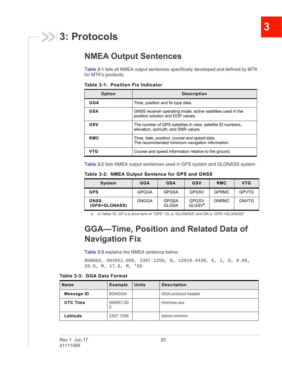## <span id="page-19-3"></span><span id="page-19-0"></span>**3: Protocols**

### <span id="page-19-1"></span>**NMEA Output Sentences**

[Table 3-1](#page-19-4) lists all NMEA output sentences specifically developed and defined by MTK for MTK's products.

<span id="page-19-4"></span>**Table 3-1: Position Fix Indicator**

| Option     | <b>Description</b>                                                                                 |
|------------|----------------------------------------------------------------------------------------------------|
| <b>GGA</b> | Time, position and fix type data.                                                                  |
| <b>GSA</b> | GNSS receiver operating mode, active satellites used in the<br>position solution and DOP values.   |
| GSV        | The number of GPS satellites in view, satellite ID numbers,<br>elevation, azimuth, and SNR values. |
| <b>RMC</b> | Time, date, position, course and speed data.<br>The recommended minimum navigation information.    |
| VTG        | Course and speed information relative to the ground.                                               |

[Table 3-2](#page-19-5) lists NMEA output sentences used in GPS system and GLONASS system

<span id="page-19-5"></span>

|  | Table 3-2: NMEA Output Sentence for GPS and GNSS |  |  |  |
|--|--------------------------------------------------|--|--|--|
|--|--------------------------------------------------|--|--|--|

| <b>System</b>                | GGA          | GSA                          | GSV                                | <b>RMC</b>   | VTG          |
|------------------------------|--------------|------------------------------|------------------------------------|--------------|--------------|
| <b>GPS</b>                   | <b>GPGGA</b> | <b>GPGSA</b>                 | <b>GPGSV</b>                       | <b>GPRMC</b> | <b>GPVTG</b> |
| <b>GNSS</b><br>(GPS+GLONASS) | GNGGA        | <b>GPGSA</b><br><b>GLGSA</b> | <b>GPGSV</b><br>GLGSV <sup>a</sup> | <b>GNRMC</b> | <b>GNVTG</b> |

a. In Talker ID, GP is a short term of "GPS"; GL is "GLONASS" and GN is "GPS +GLONASS"

### <span id="page-19-2"></span>**GGA—Time, Position and Related Data of Navigation Fix**

[Table 3-3](#page-19-6) explains the NMEA sentence below:

\$GNGGA, 064951.000, 2307.1256, N, 12016.4438, E, 1, 8, 0.95, 39.9, M, 17.8, M, \*65

<span id="page-19-6"></span>**Table 3-3: GGA Data Format**

| <b>Name</b>     | <b>Example</b> | <b>Units</b> | <b>Description</b>  |
|-----------------|----------------|--------------|---------------------|
| Message ID      | \$GNGGA        |              | GGA protocol header |
| <b>UTC Time</b> | 064951.00<br>O |              | hhmmss.sss          |
| Latitude        | 2307.1256      |              | ddmm.mmmm           |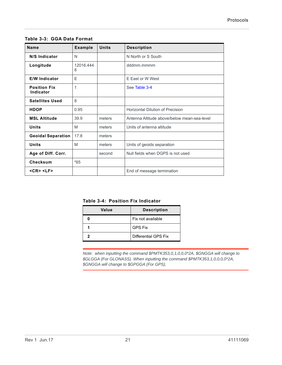| <b>Name</b>                      | <b>Example</b> | <b>Units</b> | <b>Description</b>                          |
|----------------------------------|----------------|--------------|---------------------------------------------|
| N/S Indicator                    | N              |              | N North or S South                          |
| Longitude                        | 12016.444<br>8 |              | dddmm.mmmm                                  |
| <b>E/W Indicator</b>             | F              |              | F Fast or W West                            |
| <b>Position Fix</b><br>Indicator | 1              |              | See Table 3-4                               |
| <b>Satellites Used</b>           | 8              |              |                                             |
| <b>HDOP</b>                      | 0.95           |              | <b>Horizontal Dilution of Precision</b>     |
| <b>MSL Altitude</b>              | 39.9           | meters       | Antenna Altitude above/below mean-sea-level |
| <b>Units</b>                     | M              | meters       | Units of antenna altitude                   |
| <b>Geoidal Separation</b>        | 17.8           | meters       |                                             |
| <b>Units</b>                     | M              | meters       | Units of geoids separation                  |
| Age of Diff. Corr.               |                | second       | Null fields when DGPS is not used           |
| Checksum                         | $*65$          |              |                                             |
| $<$ CR $>$ $<$ LF $>$            |                |              | End of message termination                  |

**Table 3-3: GGA Data Format**

<span id="page-20-0"></span>**Table 3-4: Position Fix Indicator**

| Value | <b>Description</b>   |
|-------|----------------------|
|       | Fix not available    |
|       | <b>GPS Fix</b>       |
|       | Differential GPS Fix |

*Note: when inputting the command \$PMTK353,0,1,0,0,0\*2A, \$GNGGA will change to \$GLGGA (For GLONASS). When inputting the command \$PMTK353,1,0,0,0,0\*2A, \$GNGGA will change to \$GPGGA (For GPS).*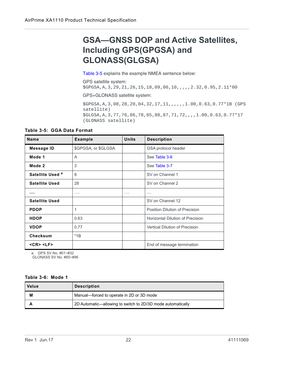### <span id="page-21-0"></span>**GSA—GNSS DOP and Active Satellites, Including GPS(GPGSA) and GLONASS(GLGSA)**

[Table 3-5](#page-21-1) explains the example NMEA sentence below:

GPS satellite system:

\$GPGSA,A,3,29,21,26,15,18,09,06,10,,,,,2.32,0.95,2.11\*00

GPS+GLONASS satellite system:

\$GPGSA,A,3,08,28,20,04,32,17,11,,,,,,1.00,0.63,0.77\*1B (GPS satellite) \$GLGSA,A,3,77,76,86,78,65,88,87,71,72,,,,1.00,0.63,0.77\*17 (GLONASS satellite)

<span id="page-21-1"></span>**Table 3-5: GGA Data Format**

| <b>Name</b>                 | <b>Example</b>      | <b>Units</b> | <b>Description</b>                      |
|-----------------------------|---------------------|--------------|-----------------------------------------|
| <b>Message ID</b>           | \$GPGSA, or \$GLGSA |              | GSA protocol header                     |
| Mode 1                      | A                   |              | See Table 3-6                           |
| Mode 2                      | 3                   |              | See Table 3-7                           |
| Satellite Used <sup>a</sup> | 8                   |              | SV on Channel 1                         |
| <b>Satellite Used</b>       | 28                  |              | SV on Channel 2                         |
|                             | $\cdots$            | $\cdots$     | $\cdots$                                |
| <b>Satellite Used</b>       |                     |              | SV on Channel 12                        |
| <b>PDOP</b>                 | 1                   |              | Position Dilution of Precision          |
| <b>HDOP</b>                 | 0.63                |              | <b>Horizontal Dilution of Precision</b> |
| <b>VDOP</b>                 | 0.77                |              | <b>Vertical Dilution of Precision</b>   |
| <b>Checksum</b>             | $*1B$               |              |                                         |
| $<$ CR $>$ $<$ LF $>$       |                     |              | End of message termination              |

a. GPS SV No. #01~#32

GLONASS SV No. #65~#96

#### <span id="page-21-2"></span>**Table 3-6: Mode 1**

| Value | <b>Description</b>                                          |
|-------|-------------------------------------------------------------|
| М     | Manual-forced to operate in 2D or 3D mode                   |
|       | 2D Automatic—allowing to switch to 2D/3D mode automatically |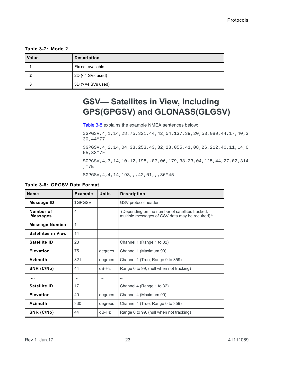<span id="page-22-1"></span>**Table 3-7: Mode 2**

| Value | <b>Description</b>      |
|-------|-------------------------|
|       | Fix not available       |
|       | 2D (<4 SVs used)        |
|       | $3D$ ( $>=$ 4 SVs used) |

### <span id="page-22-0"></span>**GSV— Satellites in View, Including GPS(GPGSV) and GLONASS(GLGSV)**

[Table 3-8](#page-22-2) explains the example NMEA sentences below:

\$GPGSV,4,1,14,28,75,321,44,42,54,137,39,20,53,080,44,17,40,3 30,44\*77

\$GPGSV,4,2,14,04,33,253,43,32,28,055,41,08,26,212,40,11,14,0 55,33\*7F

\$GPGSV,4,3,14,10,12,198,,07,06,179,38,23,04,125,44,27,02,314 ,\*7E

\$GPGSV,4,4,14,193,,,42,01,,,36\*45

<span id="page-22-2"></span>

| Table 3-8: GPGSV Data Format |  |  |  |
|------------------------------|--|--|--|
|------------------------------|--|--|--|

| <b>Name</b>                  | <b>Example</b> | <b>Units</b> | <b>Description</b>                                                                                  |
|------------------------------|----------------|--------------|-----------------------------------------------------------------------------------------------------|
| Message ID                   | \$GPGSV        |              | GSV protocol header                                                                                 |
| Number of<br><b>Messages</b> | 4              |              | (Depending on the number of satellites tracked,<br>multiple messages of GSV data may be required) a |
| <b>Message Number</b>        | 1              |              |                                                                                                     |
| <b>Satellites in View</b>    | 14             |              |                                                                                                     |
| Satellite ID                 | 28             |              | Channel 1 (Range 1 to 32)                                                                           |
| <b>Elevation</b>             | 75             | degrees      | Channel 1 (Maximum 90)                                                                              |
| Azimuth                      | 321            | degrees      | Channel 1 (True, Range 0 to 359)                                                                    |
| SNR (C/No)                   | 44             | $dB-Hz$      | Range 0 to 99, (null when not tracking)                                                             |
| .                            | $\cdots$       | $\cdots$     | $\cdots$                                                                                            |
| Satellite ID                 | 17             |              | Channel 4 (Range 1 to 32)                                                                           |
| <b>Elevation</b>             | 40             | degrees      | Channel 4 (Maximum 90)                                                                              |
| Azimuth                      | 330            | degrees      | Channel 4 (True, Range 0 to 359)                                                                    |
| SNR (C/No)                   | 44             | $dB-Hz$      | Range 0 to 99, (null when not tracking)                                                             |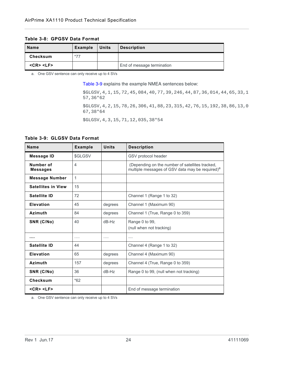#### **Table 3-8: GPGSV Data Format**

| <b>Name</b>           | <b>Example</b> | <b>Units</b> | <b>Description</b>         |
|-----------------------|----------------|--------------|----------------------------|
| Checksum              | *77            |              |                            |
| $<$ CR $>$ $<$ LF $>$ |                |              | End of message termination |

a. One GSV sentence can only receive up to 4 SVs

[Table 3-9](#page-23-0) explains the example NMEA sentences below:

\$GLGSV,4,1,15,72,45,084,40,77,39,246,44,87,36,014,44,65,33,1 57,36\*62

\$GLGSV,4,2,15,78,26,306,41,88,23,315,42,76,15,192,38,86,13,0 67,38\*64

\$GLGSV,4,3,15,71,12,035,38\*54

#### <span id="page-23-0"></span>**Table 3-9: GLGSV Data Format**

| <b>Name</b>                  | <b>Example</b> | <b>Units</b>         | <b>Description</b>                                                                                             |
|------------------------------|----------------|----------------------|----------------------------------------------------------------------------------------------------------------|
| <b>Message ID</b>            | \$GLGSV        |                      | GSV protocol header                                                                                            |
| Number of<br><b>Messages</b> | $\overline{4}$ |                      | (Depending on the number of satellites tracked,<br>multiple messages of GSV data may be required) <sup>a</sup> |
| <b>Message Number</b>        | 1              |                      |                                                                                                                |
| <b>Satellites in View</b>    | 15             |                      |                                                                                                                |
| <b>Satellite ID</b>          | 72             |                      | Channel 1 (Range 1 to 32)                                                                                      |
| <b>Elevation</b>             | 45             | degrees              | Channel 1 (Maximum 90)                                                                                         |
| Azimuth                      | 84             | degrees              | Channel 1 (True, Range 0 to 359)                                                                               |
| SNR (C/No)                   | 40             | $dB-Hz$              | Range 0 to 99,<br>(null when not tracking)                                                                     |
|                              | .              | $\sim$ $\sim$ $\sim$ | $\cdots$                                                                                                       |
| Satellite ID                 | 44             |                      | Channel 4 (Range 1 to 32)                                                                                      |
| Elevation                    | 65             | degrees              | Channel 4 (Maximum 90)                                                                                         |
| <b>Azimuth</b>               | 157            | degrees              | Channel 4 (True, Range 0 to 359)                                                                               |
| SNR (C/No)                   | 36             | $dB-Hz$              | Range 0 to 99, (null when not tracking)                                                                        |
| Checksum                     | $*62$          |                      |                                                                                                                |
| $<$ CR $>$ $<$ LF $>$        |                |                      | End of message termination                                                                                     |

a. One GSV sentence can only receive up to 4 SVs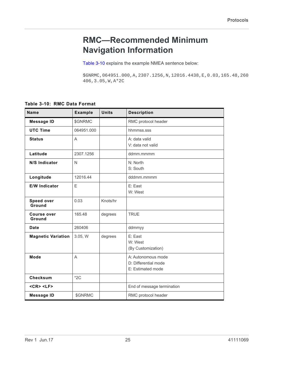### <span id="page-24-0"></span>**RMC—Recommended Minimum Navigation Information**

[Table 3-10](#page-24-1) explains the example NMEA sentence below:

\$GNRMC,064951.000,A,2307.1256,N,12016.4438,E,0.03,165.48,260 406,3.05,W,A\*2C

<span id="page-24-1"></span>**Table 3-10: RMC Data Format**

| <b>Name</b>                  | <b>Example</b> | <b>Units</b> | <b>Description</b>                                              |
|------------------------------|----------------|--------------|-----------------------------------------------------------------|
| <b>Message ID</b>            | \$GNRMC        |              | RMC protocol header                                             |
| <b>UTC Time</b>              | 064951.000     |              | hhmmss.sss                                                      |
| <b>Status</b>                | A              |              | A: data valid<br>V: data not valid                              |
| Latitude                     | 2307.1256      |              | ddmm.mmmm                                                       |
| N/S Indicator                | N              |              | N: North<br>S: South                                            |
| Longitude                    | 12016.44       |              | dddmm.mmmm                                                      |
| <b>E/W Indicator</b>         | E              |              | E: East<br>W: West                                              |
| <b>Speed over</b><br>Ground  | 0.03           | Knots/hr     |                                                                 |
| <b>Course over</b><br>Ground | 165.48         | degrees      | <b>TRUE</b>                                                     |
| <b>Date</b>                  | 260406         |              | ddmmyy                                                          |
| <b>Magnetic Variation</b>    | 3.05, W        | degrees      | E: East<br>W: West<br>(By Customization)                        |
| <b>Mode</b>                  | A              |              | A: Autonomous mode<br>D: Differential mode<br>E: Estimated mode |
| <b>Checksum</b>              | $*2C$          |              |                                                                 |
| $<$ CR $>$ $<$ LF $>$        |                |              | End of message termination                                      |
| <b>Message ID</b>            | \$GNRMC        |              | RMC protocol header                                             |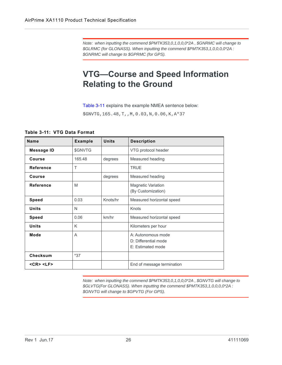*Note: when inputting the commend \$PMTK353,0,1,0,0,0\*2A , \$GNRMC will change to \$GLRMC (for GLONASS). When inputting the commend \$PMTK353,1,0,0,0,0\*2A : \$GNRMC will change to \$GPRMC (for GPS).* 

### <span id="page-25-0"></span>**VTG—Course and Speed Information Relating to the Ground**

[Table 3-11](#page-25-1) explains the example NMEA sentence below:

\$GNVTG,165.48,T,,M,0.03,N,0.06,K,A\*37

<span id="page-25-1"></span>**Table 3-11: VTG Data Format**

| <b>Name</b>           | <b>Example</b> | <b>Units</b> | <b>Description</b>                                              |
|-----------------------|----------------|--------------|-----------------------------------------------------------------|
| <b>Message ID</b>     | \$GNVTG        |              | VTG protocol header                                             |
| Course                | 165.48         | degrees      | Measured heading                                                |
| Reference             | т              |              | <b>TRUE</b>                                                     |
| Course                |                | degrees      | Measured heading                                                |
| <b>Reference</b>      | M              |              | <b>Magnetic Variation</b><br>(By Customization)                 |
| <b>Speed</b>          | 0.03           | Knots/hr     | Measured horizontal speed                                       |
| <b>Units</b>          | N              |              | Knots                                                           |
| <b>Speed</b>          | 0.06           | km/hr        | Measured horizontal speed                                       |
| <b>Units</b>          | K              |              | Kilometers per hour                                             |
| Mode                  | A              |              | A: Autonomous mode<br>D: Differential mode<br>E: Estimated mode |
| <b>Checksum</b>       | $*37$          |              |                                                                 |
| $<$ CR $>$ $<$ LF $>$ |                |              | End of message termination                                      |

*Note: when inputting the commend \$PMTK353,0,1,0,0,0\*2A , \$GNVTG will change to \$GLVTG(For GLONASS). When inputting the commend \$PMTK353,1,0,0,0,0\*2A : \$GNVTG will change to \$GPVTG (For GPS).*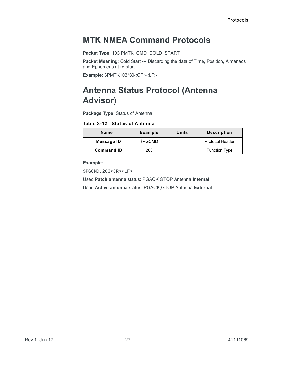### <span id="page-26-0"></span>**MTK NMEA Command Protocols**

**Packet Type**: 103 PMTK\_CMD\_COLD\_START

**Packet Meaning**: Cold Start --- Discarding the data of Time, Position, Almanacs and Ephemeris at re-start.

**Example**: \$PMTK103\*30<CR><LF>

### <span id="page-26-2"></span><span id="page-26-1"></span>**Antenna Status Protocol (Antenna Advisor)**

**Package Type**: Status of Antenna

**Table 3-12: Status of Antenna**

| Name              | <b>Example</b> | Units | <b>Description</b>     |
|-------------------|----------------|-------|------------------------|
| Message ID        | \$PGCMD        |       | <b>Protocol Header</b> |
| <b>Command ID</b> | 203            |       | <b>Function Type</b>   |

**Example**:

\$PGCMD,203<CR><LF>

Used **Patch antenna** status: PGACK,GTOP Antenna **Internal**.

Used **Active antenna** status: PGACK,GTOP Antenna **External**.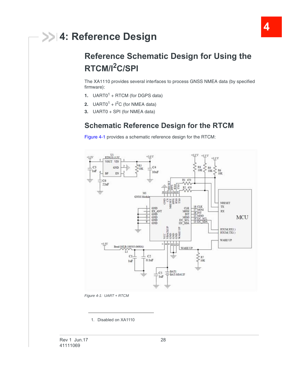## <span id="page-27-0"></span>**4: Reference Design**

## <span id="page-27-1"></span>**Reference Schematic Design for Using the RTCM/I2C/SPI**

The XA1110 provides several interfaces to process GNSS NMEA data (by specified firmware):

- **1.** UART0<sup>1</sup> + RTCM (for DGPS data)
- **2.** UART0<sup>1</sup> +  $I^2C$  (for NMEA data)
- **3.** UART0 + SPI (for NMEA data)

### <span id="page-27-2"></span>**Schematic Reference Design for the RTCM**

[Figure 4-1](#page-27-3) provides a schematic reference design for the RTCM:



<span id="page-27-3"></span>*Figure 4-1: UART + RTCM*

<span id="page-27-4"></span><sup>1.</sup> Disabled on XA1110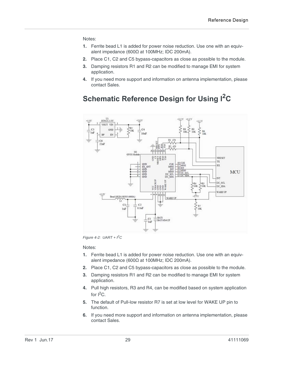#### Notes:

- **1.** Ferrite bead L1 is added for power noise reduction. Use one with an equivalent impedance (600Ω at 100MHz; IDC 200mA).
- **2.** Place C1, C2 and C5 bypass-capacitors as close as possible to the module.
- **3.** Damping resistors R1 and R2 can be modified to manage EMI for system application.
- **4.** If you need more support and information on antenna implementation, please contact Sales.

### <span id="page-28-0"></span>**Schematic Reference Design for Using I2C**



*Figure 4-2: UART +*  $PC$ 

- **1.** Ferrite bead L1 is added for power noise reduction. Use one with an equivalent impedance (600Ω at 100MHz; IDC 200mA).
- **2.** Place C1, C2 and C5 bypass-capacitors as close as possible to the module.
- **3.** Damping resistors R1 and R2 can be modified to manage EMI for system application.
- **4.** Pull high resistors, R3 and R4, can be modified based on system application for  $I^2C$ .
- **5.** The default of Pull-low resistor R7 is set at low level for WAKE UP pin to function.
- **6.** If you need more support and information on antenna implementation, please contact Sales.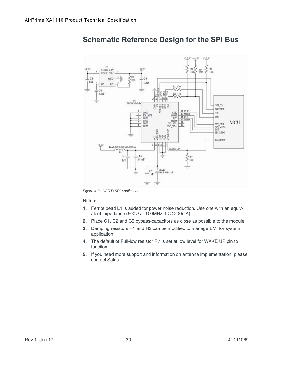

### <span id="page-29-0"></span>**Schematic Reference Design for the SPI Bus**

*Figure 4-3: UART+SPI Application*

- **1.** Ferrite bead L1 is added for power noise reduction. Use one with an equivalent impedance (600Ω at 100MHz; IDC 200mA).
- **2.** Place C1, C2 and C5 bypass-capacitors as close as possible to the module.
- **3.** Damping resistors R1 and R2 can be modified to manage EMI for system application.
- **4.** The default of Pull-low resistor R7 is set at low level for WAKE UP pin to function.
- **5.** If you need more support and information on antenna implementation, please contact Sales.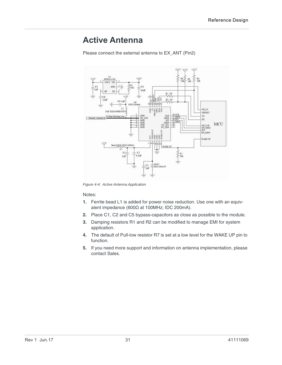### <span id="page-30-0"></span>**Active Antenna**

Please connect the external antenna to EX\_ANT (Pin2)



*Figure 4-4: Active Antenna Application*

- **1.** Ferrite bead L1 is added for power noise reduction. Use one with an equivalent impedance (600Ω at 100MHz; IDC 200mA).
- **2.** Place C1, C2 and C5 bypass-capacitors as close as possible to the module.
- **3.** Damping resistors R1 and R2 can be modified to manage EMI for system application.
- **4.** The default of Pull-low resistor R7 is set at a low level for the WAKE UP pin to function.
- **5.** If you need more support and information on antenna implementation, please contact Sales.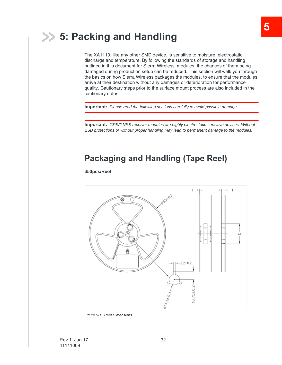## <span id="page-31-0"></span>**5: Packing and Handling**

The XA1110, like any other SMD device, is sensitive to moisture, electrostatic discharge and temperature. By following the standards of storage and handling outlined in this document for Sierra Wireless' modules, the chances of them being damaged during production setup can be reduced. This section will walk you through the basics on how Sierra Wireless packages the modules, to ensure that the modules arrive at their destination without any damages or deterioration for performance quality. Cautionary steps prior to the surface mount process are also included in the cautionary notes.

**Important:** *Please read the following sections carefully to avoid possible damage.*

**Important:** *GPS/GNSS receiver modules are highly electrostatic-sensitive devices. Without ESD protections or without proper handling may lead to permanent damage to the modules.* 

### <span id="page-31-1"></span>**Packaging and Handling (Tape Reel)**

#### **350pcs/Reel**



*Figure 5-1: Reel Dimensions*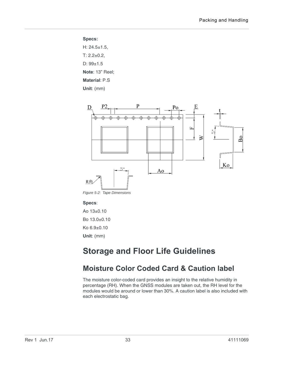#### **Specs:**

H: 24.5±1.5,  $T: 2.2 \pm 0.2$ , D: 99±1.5 **Note**: 13" Reel; **Material**: P.S

**Unit**: (mm)



*Figure 5-2: Tape Dimensions*

#### **Specs**:

Ao 13±0.10 Bo 13.0±0.10 Ko 6.9±0.10

**Unit**: (mm)

### <span id="page-32-0"></span>**Storage and Floor Life Guidelines**

### <span id="page-32-1"></span>**Moisture Color Coded Card & Caution label**

The moisture color-coded card provides an insight to the relative humidity in percentage (RH). When the GNSS modules are taken out, the RH level for the modules would be around or lower than 30%. A caution label is also included with each electrostatic bag.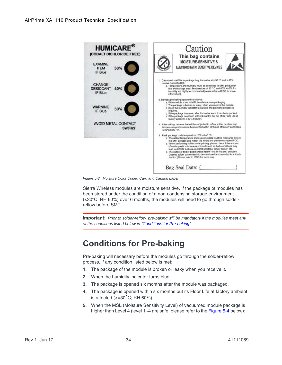

*Figure 5-3: Moisture Color Coded Card and Caution Label*

Sierra Wireless modules are moisture sensitive. If the package of modules has been stored under the condition of a non-condensing storage environment (<30°C; RH 60%) over 6 months, the modules will need to go through solderreflow before SMT.

**Important:** *Prior to solder-reflow, pre-baking will be mandatory if the modules meet any of the conditions listed below in "[Conditions for Pre-baking](#page-33-0)".*

### <span id="page-33-1"></span><span id="page-33-0"></span>**Conditions for Pre-baking**

Pre-baking will necessary before the modules go through the solder-reflow process, if any condition listed below is met:

- **1.** The package of the module is broken or leaky when you receive it.
- **2.** When the humidity indicator turns blue.
- **3.** The package is opened six months after the module was packaged.
- **4.** The package is opened within six months but its Floor Life at factory ambient is affected ( $\epsilon$ =30°C; RH 60%).
- **5.** When the MSL (Moisture Sensitivity Level) of vacuumed module package is higher than Level 4 (level 1~4 are safe; please refer to the [Figure 5-4](#page-34-1) below):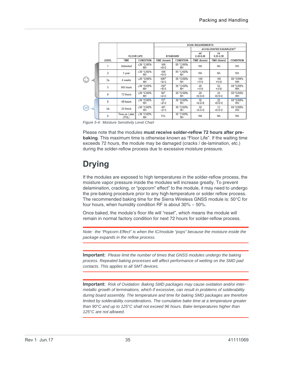|                     |       |                        |                         | <b>SOAK REQUIREMENTS</b>   |                        |                     |                                           |                        |
|---------------------|-------|------------------------|-------------------------|----------------------------|------------------------|---------------------|-------------------------------------------|------------------------|
|                     |       |                        |                         |                            |                        |                     | <b>ACCELERATED EQUIVALENT<sup>1</sup></b> |                        |
|                     |       | <b>FLOOR LIFE</b>      |                         | <b>STANDARD</b>            |                        | eV<br>$0.40 - 0.48$ | eV<br>$0.30 - 0.39$                       |                        |
|                     | LEVEL | TIME                   | <b>CONDITION</b>        | TIME (hours)               | <b>CONDITION</b>       | <b>TIME</b> (hours) | TIME (hours)                              | CONDITION              |
|                     |       | Unlimited              | ≤30 °C/85%<br>RH        | 168<br>$+5/-0$             | 85 °C/85%<br><b>RH</b> | <b>NA</b>           | NA                                        | <b>NA</b>              |
|                     | 2     | 1 year                 | ≤30 °C/60%<br><b>RH</b> | 168<br>$+5/-0$             | 85 °C/60%<br><b>RH</b> | <b>NA</b>           | <b>NA</b>                                 | <b>NA</b>              |
| ☺                   | 2a    | 4 weeks                | ≤30 °C/60%<br><b>RH</b> | 6962<br>$+5/-0$            | 30 °C/60%<br><b>RH</b> | 120<br>$+1/-0$      | 168<br>$+1/-0$                            | 60 °C/60%<br><b>RH</b> |
|                     | 3     | 168 hours              | $\leq 30$ °C/60%<br>RH  | $192^2$<br>$+5/-0$         | 30 °C/60%<br><b>RH</b> | 40<br>$+1/-0$       | 52<br>$+1/-0$                             | 60 °C/60%<br><b>RH</b> |
|                     | 4     | 72 hours               | $\leq$ 30 °C/60%<br>RH. | 96 <sup>2</sup><br>$+21-0$ | 30 °C/60%<br>RH        | 20<br>$+0.5/-0$     | 24<br>$+0.5/-0$                           | 60 °C/60%<br>RH        |
|                     | 5     | 48 hours               | ≤30 °C/60%<br><b>RH</b> | $72^{2}$<br>$+21-0$        | 30 °C/60%<br><b>RH</b> | 15<br>$+0.51 - 0$   | 20<br>$+0.5/-0$                           | 60 °C/60%<br>RH        |
| $\hat{\mathcal{C}}$ | 5a    | 24 hours               | ≤30 °C/60%<br><b>RH</b> | 482<br>$+21-0$             | 30 °C/60%<br><b>RH</b> | 10<br>$+0.5/-0$     | 13<br>$+0.5/-0$                           | 60 °C/60%<br>RH        |
|                     | 6     | Time on Label<br>(TOL) | $\leq$ 30 °C/60%<br>RH  | TOL                        | 30 °C/60%<br>RH        | <b>NA</b>           | <b>NA</b>                                 | <b>NA</b>              |

<span id="page-34-1"></span>*Figure 5-4: Moisture Sensitivity Level Chart*

Please note that the modules **must receive solder-reflow 72 hours after prebaking**. This maximum time is otherwise known as "Floor Life". If the waiting time exceeds 72 hours, the module may be damaged (cracks / de-lamination, etc.) during the solder-reflow process due to excessive moisture pressure.

## <span id="page-34-0"></span>**Drying**

If the modules are exposed to high temperatures in the solder-reflow process, the moisture vapor pressure inside the modules will increase greatly. To prevent delamination, cracking, or "popcorn" effect" to the module, it may need to undergo the pre-baking procedure prior to any high-temperature or solder reflow process. The recommended baking time for the Sierra Wireless GNSS module is: 50°C for four hours, when humidity condition RF is about  $30\% \sim 50\%$ .

Once baked, the module's floor life will "reset", which means the module will remain in normal factory condition for next 72 hours for solder-reflow process.

*Note: the "Popcorn Effect" is when the IC/module "pops" because the moisture inside the package expands in the reflow process.* 

**Important:** *Please limit the number of times that GNSS modules undergo the baking process. Repeated baking processes will affect performance of wetting on the SMD pad contacts. This applies to all SMT devices.* 

**Important:** *Risk of Oxidation: Baking SMD packages may cause oxidation and/or intermetallic growth of terminations, which if excessive, can result in problems of solderability during board assembly. The temperature and time for baking SMD packages are therefore limited by solderability considerations. The cumulative bake time at a temperature greater than 90°C and up to 125°C shall not exceed 96 hours. Bake temperatures higher than 125°C are not allowed.*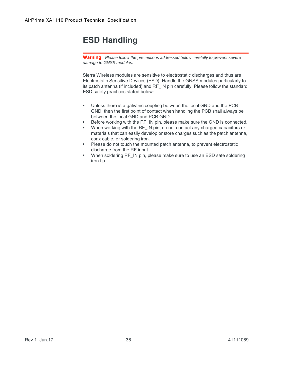### <span id="page-35-0"></span>**ESD Handling**

**Warning:** *Please follow the precautions addressed below carefully to prevent severe damage to GNSS modules.*

Sierra Wireless modules are sensitive to electrostatic discharges and thus are Electrostatic Sensitive Devices (ESD). Handle the GNSS modules particularly to its patch antenna (if included) and RF\_IN pin carefully. Please follow the standard ESD safety practices stated below:

- **•** Unless there is a galvanic coupling between the local GND and the PCB GND, then the first point of contact when handling the PCB shall always be between the local GND and PCB GND.
- **•** Before working with the RF\_IN pin, please make sure the GND is connected.
- **•** When working with the RF\_IN pin, do not contact any charged capacitors or materials that can easily develop or store charges such as the patch antenna, coax cable, or soldering iron.
- **•** Please do not touch the mounted patch antenna, to prevent electrostatic discharge from the RF input
- **•** When soldering RF\_IN pin, please make sure to use an ESD safe soldering iron tip.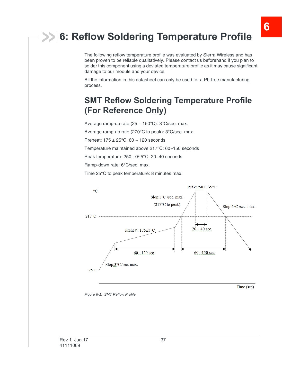## <span id="page-36-0"></span>**6: Reflow Soldering Temperature Profile**

The following reflow temperature profile was evaluated by Sierra Wireless and has been proven to be reliable qualitatively. Please contact us beforehand if you plan to solder this component using a deviated temperature profile as it may cause significant damage to our module and your device.

All the information in this datasheet can only be used for a Pb-free manufacturing process.

### <span id="page-36-1"></span>**SMT Reflow Soldering Temperature Profile (For Reference Only)**

Average ramp-up rate (25 ~ 150°C): 3°C/sec. max.

Average ramp-up rate (270°C to peak): 3°C/sec. max.

Preheat:  $175 \pm 25^{\circ}$ C, 60 ~ 120 seconds

Temperature maintained above 217°C: 60~150 seconds

Peak temperature: 250 +0/-5°C, 20~40 seconds

Ramp-down rate: 6°C/sec. max.

Time 25°C to peak temperature: 8 minutes max.



*Figure 6-1: SMT Reflow Profile*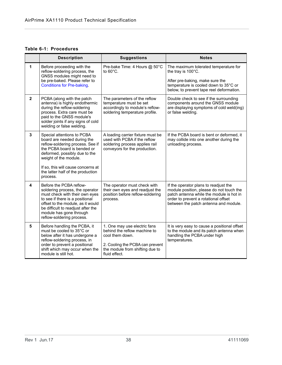#### **Table 6-1: Procedures**

|   | <b>Description</b>                                                                                                                                                                                                                                                            | <b>Suggestions</b>                                                                                                                                                     | <b>Notes</b>                                                                                                                                                                                                   |
|---|-------------------------------------------------------------------------------------------------------------------------------------------------------------------------------------------------------------------------------------------------------------------------------|------------------------------------------------------------------------------------------------------------------------------------------------------------------------|----------------------------------------------------------------------------------------------------------------------------------------------------------------------------------------------------------------|
| 1 | Before proceeding with the<br>reflow-soldering process, the<br>GNSS modules might need to<br>be pre-baked. Please refer to<br><b>Conditions for Pre-baking.</b>                                                                                                               | Pre-bake Time: 4 Hours @ 50°C<br>to $60^{\circ}$ C.                                                                                                                    | The maximum tolerated temperature for<br>the tray is 100°C.<br>After pre-baking, make sure the<br>temperature is cooled down to 35°C or<br>below, to prevent tape reel deformation.                            |
| 2 | PCBA (along with the patch<br>antenna) is highly endothermic<br>during the reflow-soldering<br>process. Extra care must be<br>paid to the GNSS module's<br>solder joints if any signs of cold<br>welding or false welding.                                                    | The parameters of the reflow<br>temperature must be set<br>accordingly to module's reflow-<br>soldering temperature profile.                                           | Double check to see if the surrounding<br>components around the GNSS module<br>are displaying symptoms of cold weld(ing)<br>or false welding.                                                                  |
| 3 | Special attentions to PCBA<br>board are needed during the<br>reflow-soldering process. See if<br>the PCBA board is bended or<br>deformed, possibly due to the<br>weight of the module.<br>If so, this will cause concerns at<br>the latter half of the production<br>process. | A loading carrier fixture must be<br>used with PCBA if the reflow<br>soldering process applies rail<br>conveyors for the production.                                   | If the PCBA board is bent or deformed, it<br>may collide into one another during the<br>unloading process.                                                                                                     |
| 4 | Before the PCBA reflow-<br>soldering process, the operator<br>must check with their own eyes<br>to see if there is a positional<br>offset to the module, as it would<br>be difficult to readjust after the<br>module has gone through<br>reflow-soldering process.            | The operator must check with<br>their own eyes and readjust the<br>position before reflow-soldering<br>process.                                                        | If the operator plans to readjust the<br>module position, please do not touch the<br>patch antenna while the module is hot in<br>order to prevent a rotational offset<br>between the patch antenna and module. |
| 5 | Before handling the PCBA, it<br>must be cooled to 35°C or<br>below after it has undergone a<br>reflow-soldering process, in<br>order to prevent a positional<br>shift which may occur when the<br>module is still hot.                                                        | 1. One may use electric fans<br>behind the reflow machine to<br>cool them down.<br>2. Cooling the PCBA can prevent<br>the module from shifting due to<br>fluid effect. | It is very easy to cause a positional offset<br>to the module and its patch antenna when<br>handling the PCBA under high<br>temperatures.                                                                      |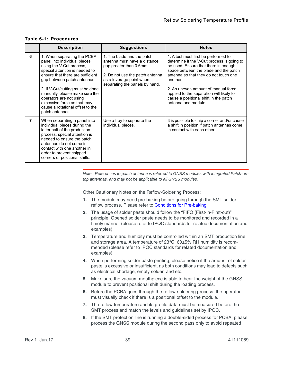|   | <b>Description</b>                                                                                                                                                                                                                                                                                                                                                                  | <b>Suggestions</b>                                                                                                                                                                     | <b>Notes</b>                                                                                                                                                                                                                                                                                                                                                                |
|---|-------------------------------------------------------------------------------------------------------------------------------------------------------------------------------------------------------------------------------------------------------------------------------------------------------------------------------------------------------------------------------------|----------------------------------------------------------------------------------------------------------------------------------------------------------------------------------------|-----------------------------------------------------------------------------------------------------------------------------------------------------------------------------------------------------------------------------------------------------------------------------------------------------------------------------------------------------------------------------|
| 6 | 1. When separating the PCBA<br>panel into individual pieces<br>using the V-Cut process,<br>special attention is needed to<br>ensure that there are sufficient<br>gap between patch antennas.<br>2. If V-Cut/cutting must be done<br>manually, please make sure the<br>operators are not using<br>excessive force as that may<br>cause a rotational offset to the<br>patch antennas. | 1. The blade and the patch<br>antenna must have a distance<br>gap greater than 0.6mm.<br>2. Do not use the patch antenna<br>as a leverage point when<br>separating the panels by hand. | 1. A test must first be performed to<br>determine if the V-Cut process is going to<br>be used. Ensure that there is enough<br>space between the blade and the patch<br>antenna so that they do not touch one<br>another.<br>2. An uneven amount of manual force<br>applied to the separation will likely to<br>cause a positional shift in the patch<br>antenna and module. |
| 7 | When separating a panel into<br>individual pieces during the<br>latter half of the production<br>process, special attention is<br>needed to ensure the patch<br>antennas do not come in<br>contact with one another in<br>order to prevent chipped<br>corners or positional shifts.                                                                                                 | Use a tray to separate the<br>individual pieces.                                                                                                                                       | It is possible to chip a corner and/or cause<br>a shift in position if patch antennas come<br>in contact with each other.                                                                                                                                                                                                                                                   |

#### **Table 6-1: Procedures**

*Note: References to patch antenna is referred to GNSS modules with integrated Patch-ontop antennas, and may not be applicable to all GNSS modules.*

Other Cautionary Notes on the Reflow-Soldering Process:

- **1.** The module may need pre-baking before going through the SMT solder reflow process. Please refer to [Conditions for Pre-baking](#page-33-1).
- **2.** The usage of solder paste should follow the "FIFO (First-in-First-out)" principle. Opened solder paste needs to be monitored and recorded in a timely manner (please refer to IPQC standards for related documentation and examples).
- **3.** Temperature and humidity must be controlled within an SMT production line and storage area. A temperature of  $23^{\circ}$ C,  $60\pm5\%$  RH humidity is recommended (please refer to IPQC standards for related documentation and examples).
- **4.** When performing solder paste printing, please notice if the amount of solder paste is excessive or insufficient, as both conditions may lead to defects such as electrical shortage, empty solder, and etc.
- **5.** Make sure the vacuum mouthpiece is able to bear the weight of the GNSS module to prevent positional shift during the loading process.
- **6.** Before the PCBA goes through the reflow-soldering process, the operator must visually check if there is a positional offset to the module.
- **7.** The reflow temperature and its profile data must be measured before the SMT process and match the levels and guidelines set by IPQC.
- **8.** If the SMT protection line is running a double-sided process for PCBA, please process the GNSS module during the second pass only to avoid repeated